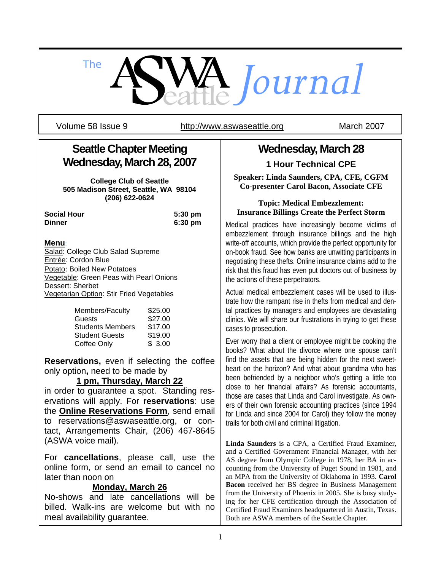

Volume 58 Issue 9 http://www.aswaseattle.org March 2007

# **Seattle Chapter Meeting Wednesday, March 28, 2007**

**College Club of Seattle 505 Madison Street, Seattle, WA 98104 (206) 622-0624** 

**Social Hour 5:30 pm Dinner 6:30 pm**

### **Menu**:

Salad: College Club Salad Supreme Entrée: Cordon Blue Potato: Boiled New Potatoes Vegetable: Green Peas with Pearl Onions Dessert: Sherbet Vegetarian Option: Stir Fried Vegetables

| Members/Faculty         | \$25.00 |
|-------------------------|---------|
| Guests                  | \$27.00 |
| <b>Students Members</b> | \$17.00 |
| <b>Student Guests</b>   | \$19.00 |
| Coffee Only             | \$3.00  |

**Reservations,** even if selecting the coffee only option**,** need to be made by

### **1 pm, Thursday, March 22**

in order to guarantee a spot. Standing reservations will apply. For **reservations**: use the **Online Reservations Form**, send email to reservations@aswaseattle.org, or contact, Arrangements Chair, (206) 467-8645 (ASWA voice mail).

For **cancellations**, please call, use the online form, or send an email to cancel no later than noon on

### **Monday, March 26**

No-shows and late cancellations will be billed. Walk-ins are welcome but with no meal availability guarantee.

## **Wednesday, March 28 1 Hour Technical CPE**

**Speaker: Linda Saunders, CPA, CFE, CGFM Co-presenter Carol Bacon, Associate CFE** 

#### **Topic: Medical Embezzlement: Insurance Billings Create the Perfect Storm**

Medical practices have increasingly become victims of embezzlement through insurance billings and the high write-off accounts, which provide the perfect opportunity for on-book fraud. See how banks are unwitting participants in negotiating these thefts. Online insurance claims add to the risk that this fraud has even put doctors out of business by the actions of these perpetrators.

Actual medical embezzlement cases will be used to illustrate how the rampant rise in thefts from medical and dental practices by managers and employees are devastating clinics. We will share our frustrations in trying to get these cases to prosecution.

Ever worry that a client or employee might be cooking the books? What about the divorce where one spouse can't find the assets that are being hidden for the next sweetheart on the horizon? And what about grandma who has been befriended by a neighbor who's getting a little too close to her financial affairs? As forensic accountants, those are cases that Linda and Carol investigate. As owners of their own forensic accounting practices (since 1994 for Linda and since 2004 for Carol) they follow the money trails for both civil and criminal litigation.

**Linda Saunders** is a CPA, a Certified Fraud Examiner, and a Certified Government Financial Manager, with her AS degree from Olympic College in 1978, her BA in accounting from the University of Puget Sound in 1981, and an MPA from the University of Oklahoma in 1993. **Carol Bacon** received her BS degree in Business Management from the University of Phoenix in 2005. She is busy studying for her CFE certification through the Association of Certified Fraud Examiners headquartered in Austin, Texas. Both are ASWA members of the Seattle Chapter.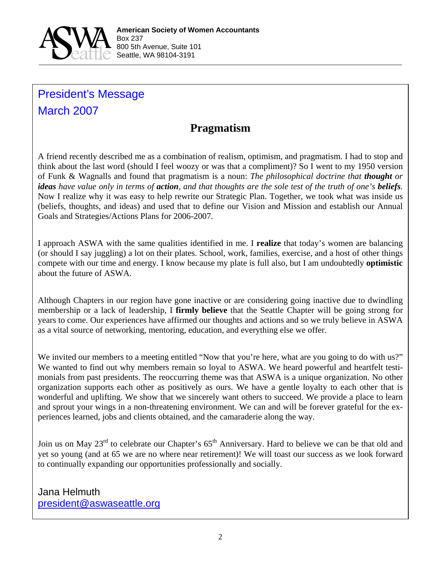

# President's Message March 2007

# **Pragmatism**

A friend recently described me as a combination of realism, optimism, and pragmatism. I had to stop and think about the last word (should I feel woozy or was that a compliment)? So I went to my 1950 version of Funk & Wagnalls and found that pragmatism is a noun: *The philosophical doctrine that thought or ideas have value only in terms of action, and that thoughts are the sole test of the truth of one's beliefs.* Now I realize why it was easy to help rewrite our Strategic Plan. Together, we took what was inside us (beliefs, thoughts, and ideas) and used that to define our Vision and Mission and establish our Annual Goals and Strategies/Actions Plans for 2006-2007.

I approach ASWA with the same qualities identified in me. I **realize** that today's women are balancing (or should I say juggling) a lot on their plates. School, work, families, exercise, and a host of other things compete with our time and energy. I know because my plate is full also, but I am undoubtedly **optimistic** about the future of ASWA.

Although Chapters in our region have gone inactive or are considering going inactive due to dwindling membership or a lack of leadership, I **firmly believe** that the Seattle Chapter will be going strong for years to come. Our experiences have affirmed our thoughts and actions and so we truly believe in ASWA as a vital source of networking, mentoring, education, and everything else we offer.

We invited our members to a meeting entitled "Now that you're here, what are you going to do with us?" We wanted to find out why members remain so loyal to ASWA. We heard powerful and heartfelt testimonials from past presidents. The reoccurring theme was that ASWA is a unique organization. No other organization supports each other as positively as ours. We have a gentle loyalty to each other that is wonderful and uplifting. We show that we sincerely want others to succeed. We provide a place to learn and sprout your wings in a non-threatening environment. We can and will be forever grateful for the experiences learned, jobs and clients obtained, and the camaraderie along the way.

Join us on May 23<sup>rd</sup> to celebrate our Chapter's 65<sup>th</sup> Anniversary. Hard to believe we can be that old and yet so young (and at 65 we are no where near retirement)! We will toast our success as we look forward to continually expanding our opportunities professionally and socially.

Jana Helmuth president@aswaseattle.org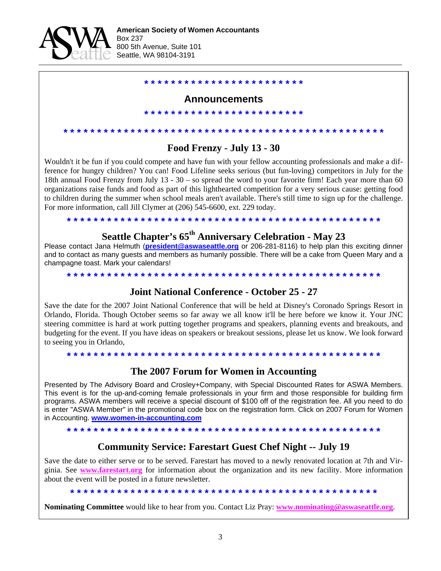

#### **Announcements**

**\* \* \* \* \* \* \* \* \* \* \* \* \* \* \* \* \* \* \* \* \* \* \* \***

**\* \* \* \* \* \* \* \* \* \* \* \* \* \* \* \* \* \* \* \* \* \* \* \*** 

**Food Frenzy - July 13 - 30** 

**\* \* \* \* \* \* \* \* \* \* \* \* \* \* \* \* \* \* \* \* \* \* \* \* \* \* \* \* \* \* \* \* \* \* \* \* \* \* \* \* \* \* \* \* \* \* \* \*** 

Wouldn't it be fun if you could compete and have fun with your fellow accounting professionals and make a difference for hungry children? You can! Food Lifeline seeks serious (but fun-loving) competitors in July for the 18th annual Food Frenzy from July 13 - 30 – so spread the word to your favorite firm! Each year more than 60 organizations raise funds and food as part of this lighthearted competition for a very serious cause: getting food to children during the summer when school meals aren't available. There's still time to sign up for the challenge. For more information, call Jill Clymer at (206) 545-6600, ext. 229 today.

#### **\* \* \* \* \* \* \* \* \* \* \* \* \* \* \* \* \* \* \* \* \* \* \* \* \* \* \* \* \* \* \* \* \* \* \* \* \* \* \* \* \* \* \* \* \* \* \***

## **Seattle Chapter's 65th Anniversary Celebration - May 23**

Please contact Jana Helmuth (**president@aswaseattle.org** or 206-281-8116) to help plan this exciting dinner and to contact as many guests and members as humanly possible. There will be a cake from Queen Mary and a champagne toast. Mark your calendars!

**\* \* \* \* \* \* \* \* \* \* \* \* \* \* \* \* \* \* \* \* \* \* \* \* \* \* \* \* \* \* \* \* \* \* \* \* \* \* \* \* \* \* \* \* \* \* \***

#### **Joint National Conference - October 25 - 27**

Save the date for the 2007 Joint National Conference that will be held at Disney's Coronado Springs Resort in Orlando, Florida. Though October seems so far away we all know it'll be here before we know it. Your JNC steering committee is hard at work putting together programs and speakers, planning events and breakouts, and budgeting for the event. If you have ideas on speakers or breakout sessions, please let us know. We look forward to seeing you in Orlando,

**\* \* \* \* \* \* \* \* \* \* \* \* \* \* \* \* \* \* \* \* \* \* \* \* \* \* \* \* \* \* \* \* \* \* \* \* \* \* \* \* \* \* \* \* \* \* \*** 

#### **The 2007 Forum for Women in Accounting**

Presented by The Advisory Board and Crosley+Company, with Special Discounted Rates for ASWA Members. This event is for the up-and-coming female professionals in your firm and those responsible for building firm programs. ASWA members will receive a special discount of \$100 off of the registration fee. All you need to do is enter "ASWA Member" in the promotional code box on the registration form. Click on 2007 Forum for Women in Accounting. **www.women-in-accounting.com**

### **\* \* \* \* \* \* \* \* \* \* \* \* \* \* \* \* \* \* \* \* \* \* \* \* \* \* \* \* \* \* \* \* \* \* \* \* \* \* \* \* \* \* \* \* \* \* \***

#### **Community Service: Farestart Guest Chef Night -- July 19**

Save the date to either serve or to be served. Farestart has moved to a newly renovated location at 7th and Virginia. See **www.farestart.org** for information about the organization and its new facility. More information about the event will be posted in a future newsletter.

**\* \* \* \* \* \* \* \* \* \* \* \* \* \* \* \* \* \* \* \* \* \* \* \* \* \* \* \* \* \* \* \* \* \* \* \* \* \* \* \* \* \* \* \* \* \*** 

**Nominating Committee** would like to hear from you. Contact Liz Pray: **www.nominating@aswaseattle.org**.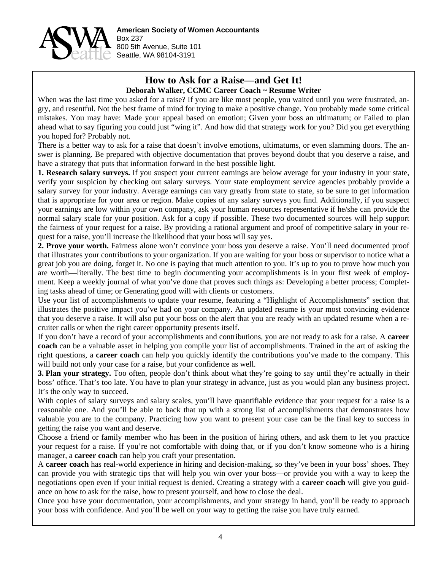

#### **How to Ask for a Raise—and Get It! Deborah Walker, CCMC Career Coach ~ Resume Writer**

When was the last time you asked for a raise? If you are like most people, you waited until you were frustrated, angry, and resentful. Not the best frame of mind for trying to make a positive change. You probably made some critical mistakes. You may have: Made your appeal based on emotion; Given your boss an ultimatum; or Failed to plan ahead what to say figuring you could just "wing it". And how did that strategy work for you? Did you get everything you hoped for? Probably not.

There is a better way to ask for a raise that doesn't involve emotions, ultimatums, or even slamming doors. The answer is planning. Be prepared with objective documentation that proves beyond doubt that you deserve a raise, and have a strategy that puts that information forward in the best possible light.

**1. Research salary surveys.** If you suspect your current earnings are below average for your industry in your state, verify your suspicion by checking out salary surveys. Your state employment service agencies probably provide a salary survey for your industry. Average earnings can vary greatly from state to state, so be sure to get information that is appropriate for your area or region. Make copies of any salary surveys you find. Additionally, if you suspect your earnings are low within your own company, ask your human resources representative if he/she can provide the normal salary scale for your position. Ask for a copy if possible. These two documented sources will help support the fairness of your request for a raise. By providing a rational argument and proof of competitive salary in your request for a raise, you'll increase the likelihood that your boss will say yes.

**2. Prove your worth.** Fairness alone won't convince your boss you deserve a raise. You'll need documented proof that illustrates your contributions to your organization. If you are waiting for your boss or supervisor to notice what a great job you are doing, forget it. No one is paying that much attention to you. It's up to you to prove how much you are worth—literally. The best time to begin documenting your accomplishments is in your first week of employment. Keep a weekly journal of what you've done that proves such things as: Developing a better process; Completing tasks ahead of time; or Generating good will with clients or customers.

Use your list of accomplishments to update your resume, featuring a "Highlight of Accomplishments" section that illustrates the positive impact you've had on your company. An updated resume is your most convincing evidence that you deserve a raise. It will also put your boss on the alert that you are ready with an updated resume when a recruiter calls or when the right career opportunity presents itself.

If you don't have a record of your accomplishments and contributions, you are not ready to ask for a raise. A **career coach** can be a valuable asset in helping you compile your list of accomplishments. Trained in the art of asking the right questions, a **career coach** can help you quickly identify the contributions you've made to the company. This will build not only your case for a raise, but your confidence as well.

**3. Plan your strategy.** Too often, people don't think about what they're going to say until they're actually in their boss' office. That's too late. You have to plan your strategy in advance, just as you would plan any business project. It's the only way to succeed.

With copies of salary surveys and salary scales, you'll have quantifiable evidence that your request for a raise is a reasonable one. And you'll be able to back that up with a strong list of accomplishments that demonstrates how valuable you are to the company. Practicing how you want to present your case can be the final key to success in getting the raise you want and deserve.

Choose a friend or family member who has been in the position of hiring others, and ask them to let you practice your request for a raise. If you're not comfortable with doing that, or if you don't know someone who is a hiring manager, a **career coach** can help you craft your presentation.

A **career coach** has real-world experience in hiring and decision-making, so they've been in your boss' shoes. They can provide you with strategic tips that will help you win over your boss—or provide you with a way to keep the negotiations open even if your initial request is denied. Creating a strategy with a **career coach** will give you guidance on how to ask for the raise, how to present yourself, and how to close the deal.

Once you have your documentation, your accomplishments, and your strategy in hand, you'll be ready to approach your boss with confidence. And you'll be well on your way to getting the raise you have truly earned.